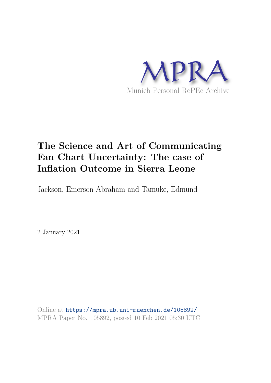

# **The Science and Art of Communicating Fan Chart Uncertainty: The case of Inflation Outcome in Sierra Leone**

Jackson, Emerson Abraham and Tamuke, Edmund

2 January 2021

Online at https://mpra.ub.uni-muenchen.de/105892/ MPRA Paper No. 105892, posted 10 Feb 2021 05:30 UTC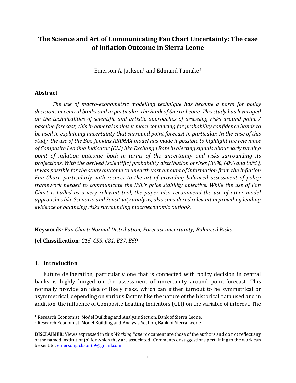# **The Science and Art of Communicating Fan Chart Uncertainty: The case of Inflation Outcome in Sierra Leone**

Emerson A. Jackson<sup>1</sup> and Edmund Tamuke<sup>2</sup>

#### **Abstract**

*The use of macro-econometric modelling technique has become a norm for policy decisions in central banks and in particular, the Bank of Sierra Leone. This study has leveraged on the technicalities of scientific and artistic approaches of assessing risks around point / baseline forecast; this in general makes it more convincing for probability confidence bands to be used in explaining uncertainty that surround point forecast in particular. In the case of this study, the use of the Box-Jenkins ARIMAX model has made it possible to highlight the relevance of Composite Leading Indicator (CLI) like Exchange Rate in alerting signals about early turning point of inflation outcome, both in terms of the uncertainty and risks surrounding its projections. With the derived (scientific) probability distribution of risks (30%, 60% and 90%), it was possible for the study outcome to unearth vast amount of information from the Inflation Fan Chart, particularly with respect to the art of providing balanced assessment of policy framework needed to communicate the BSL's price stability objective. While the use of Fan Chart is hailed as a very relevant tool, the paper also recommend the use of other model approaches like Scenario and Sensitivity analysis, also considered relevant in providing leading evidence of balancing risks surrounding macroeconomic outlook.* 

**Keywords**: *Fan Chart; Normal Distribution; Forecast uncertainty; Balanced Risks*

**Jel Classification**: *C15, C53, C81, E37, E59*

#### **1. Introduction**

l

Future deliberation, particularly one that is connected with policy decision in central banks is highly hinged on the assessment of uncertainty around point-forecast. This normally provide an idea of likely risks, which can either turnout to be symmetrical or asymmetrical, depending on various factors like the nature of the historical data used and in addition, the influence of Composite Leading Indicators (CLI) on the variable of interest. The

<sup>1</sup> Research Economist, Model Building and Analysis Section, Bank of Sierra Leone.

<sup>2</sup> Research Economist, Model Building and Analysis Section, Bank of Sierra Leone.

**DISCLAIMER**: Views expressed in this *Working Paper* document are those of the authors and do not reflect any of the named institution(s) for which they are associated. Comments or suggestions pertaining to the work can be sent to: **emersonjackson69@gmail.com.**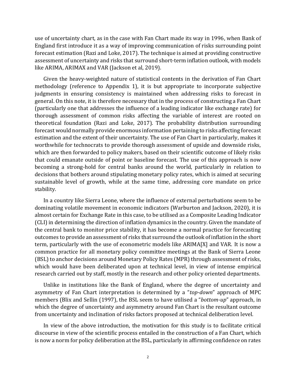use of uncertainty chart, as in the case with Fan Chart made its way in 1996, when Bank of England first introduce it as a way of improving communication of risks surrounding point forecast estimation (Razi and Loke, 2017). The technique is aimed at providing constructive assessment of uncertainty and risks that surround short-term inflation outlook, with models like ARIMA, ARIMAX and VAR (Jackson et al, 2019).

Given the heavy-weighted nature of statistical contents in the derivation of Fan Chart methodology (reference to Appendix 1), it is but appropriate to incorporate subjective judgments in ensuring consistency is maintained when addressing risks to forecast in general. On this note, it is therefore necessary that in the process of constructing a Fan Chart (particularly one that addresses the influence of a leading indicator like exchange rate) for thorough assessment of common risks affecting the variable of interest are rooted on theoretical foundation (Razi and Loke, 2017). The probability distribution surrounding forecast would normally provide enormous information pertaining to risks affecting forecast estimation and the extent of their uncertainty. The use of Fan Chart in particularly, makes it worthwhile for technocrats to provide thorough assessment of upside and downside risks, which are then forwarded to policy makers, based on their scientific outcome of likely risks that could emanate outside of point or baseline forecast. The use of this approach is now becoming a strong-hold for central banks around the world, particularly in relation to decisions that bothers around stipulating monetary policy rates, which is aimed at securing sustainable level of growth, while at the same time, addressing core mandate on price stability.

In a country like Sierra Leone, where the influence of external perturbations seem to be dominating volatile movement in economic indicators (Warburton and Jackson, 2020), it is almost certain for Exchange Rate in this case, to be utilised as a Composite Leading Indicator (CLI) in determining the direction of inflation dynamics in the country. Given the mandate of the central bank to monitor price stability, it has become a normal practice for forecasting outcomes to provide an assessment of risks that surround the outlook of inflation in the short term, particularly with the use of econometric models like ARIMA[X] and VAR. It is now a common practice for all monetary policy committee meetings at the Bank of Sierra Leone (BSL) to anchor decisions around Monetary Policy Rates (MPR) through assessment of risks, which would have been deliberated upon at technical level, in view of intense empirical research carried out by staff, mostly in the research and other policy oriented departments.

Unlike in institutions like the Bank of England, where the degree of uncertainty and asymmetry of Fan Chart interpretation is determined by a "*top-down*" approach of MPC members (Blix and Sellin (1997), the BSL seem to have utilised a "*bottom-up*" approach, in which the degree of uncertainty and asymmetry around Fan Chart is the resultant outcome from uncertainty and inclination of risks factors proposed at technical deliberation level.

In view of the above introduction, the motivation for this study is to facilitate critical discourse in view of the scientific process entailed in the construction of a Fan Chart, which is now a norm for policy deliberation at the BSL, particularly in affirming confidence on rates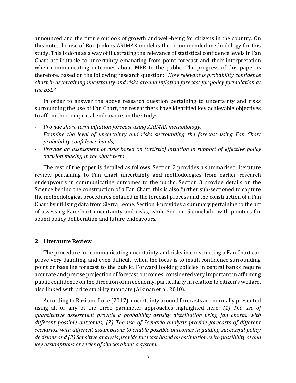announced and the future outlook of growth and well-being for citizens in the country. On this note, the use of Box-Jenkins ARIMAX model is the recommended methodology for this study. This is done as a way of illustrating the relevance of statistical confidence levels in Fan Chart attributable to uncertainty emanating from point forecast and their interpretation when communicating outcomes about MPR to the public. The progress of this paper is therefore, based on the following research question: "*How relevant is probability confidence chart in ascertaining uncertainty and risks around inflation forecast for policy formulation at the BSL?*"

In order to answer the above research question pertaining to uncertainty and risks surrounding the use of Fan Chart, the researchers have identified key achievable objectives to affirm their empirical endeavours in the study:

- *Provide short-term inflation forecast using ARIMAX methodology;*
- *Examine the level of uncertainty and risks surrounding the forecast using Fan Chart probability confidence bands;*
- *Provide an assessment of risks based on (artistic) intuition in support of effective policy decision making in the short term.*

The rest of the paper is detailed as follows. Section 2 provides a summarised literature review pertaining to Fan Chart uncertainty and methodologies from earlier research endeapvours in communicating outcomes to the public. Section 3 provide details on the Science behind the construction of a Fan Chart; this is also further sub-sectioned to capture the methodological procedures entailed in the forecast process and the construction of a Fan Chart by utilising data from Sierra Leone. Section 4 provides a summary pertaining to the art of assessing Fan Chart uncertainty and risks, while Section 5 conclude, with pointers for sound policy deliberation and future endeavours.

## **2. Literature Review**

The procedure for communicating uncertainty and risks in constructing a Fan Chart can prove very daunting, and even difficult, when the focus is to instill confidence surrounding point or baseline forecast to the public. Forward looking policies in central banks require accurate and precise projection of forecast outcomes, considered very important in affirming public confidence on the direction of an economy, particularly in relation to citizen's welfare, also linked with price stability mandate (Aikman et al, 2010).

According to Razi and Loke (2017), uncertainty around forecasts are normally presented using all or any of the three parameter approaches highlighted here: *(1) The use of quantitative assessment provide a probability density distribution using fan charts, with different possible outcomes; (2) The use of Scenario analysis provide forecasts of different scenarios, with different assumptions to enable possible outcomes in guiding successful policy decisions and (3) Sensitive analysis provide forecast based on estimation, with possibility of one key assumptions or series of shocks about a system*.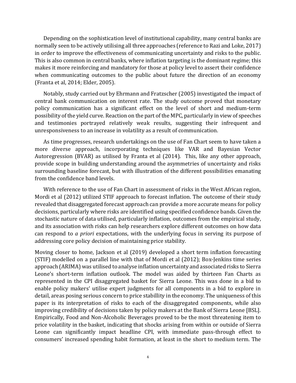Depending on the sophistication level of institutional capability, many central banks are normally seen to be actively utilising all three approaches (reference to Razi and Loke, 2017) in order to improve the effectiveness of communicating uncertainty and risks to the public. This is also common in central banks, where inflation targeting is the dominant regime; this makes it more reinforcing and mandatory for those at policy level to assert their confidence when communicating outcomes to the public about future the direction of an economy (Franta et al, 2014; Elder, 2005).

Notably, study carried out by Ehrmann and Fratzscher (2005) investigated the impact of central bank communication on interest rate. The study outcome proved that monetary policy communication has a significant effect on the level of short and medium-term possibility of the yield curve. Reaction on the part of the MPC, particularly in view of speeches and testimonies portrayed relatively weak results, suggesting their infrequent and unresponsiveness to an increase in volatility as a result of communication.

As time progresses, research undertakings on the use of Fan Chart seem to have taken a more diverse approach, incorporating techniques like VAR and Bayesian Vector Autoregression (BVAR) as utilised by Franta et al (2014). This, like any other approach, provide scope in building understanding around the asymmetries of uncertainty and risks surrounding baseline forecast, but with illustration of the different possibilities emanating from the confidence band levels.

With reference to the use of Fan Chart in assessment of risks in the West African region, Mordi et al (2012) utilized STIF approach to forecast inflation. The outcome of their study revealed that disaggregated forecast approach can provide a more accurate means for policy decisions, particularly where risks are identified using specified confidence bands. Given the stochastic nature of data utilised, particularly inflation, outcomes from the empirical study, and its association with risks can help researchers explore different outcomes on how data can respond to *a priori* expectations, with the underlying focus in serving its purpose of addressing core policy decision of maintaining price stability.

Moving closer to home, Jackson et al (2019) developed a short term inflation forecasting (STIF) modelled on a parallel line with that of Mordi et al (2012); Box-Jenkins time series approach (ARIMA) was utilised to analyse inflation uncertainty and associated risks to Sierra Leone's short-term inflation outlook. The model was aided by thirteen Fan Charts as represented in the CPI disaggregated basket for Sierra Leone. This was done in a bid to enable policy makers' utilise expert judgments for all components in a bid to explore in detail, areas posing serious concern to price stabillity in the economy. The uniqueness of this paper is its interpretation of risks to each of the disaggregated components, while also improving credibility of decisions taken by policy makers at the Bank of Sierra Leone [BSL]. Empirically, Food and Non-Alcoholic Beverages proved to be the most threatening item to price volatility in the basket, indicating that shocks arising from within or outside of Sierra Leone can significantly impact headline CPI, with immediate pass-through effect to consumers' increased spending habit formation, at least in the short to medium term. The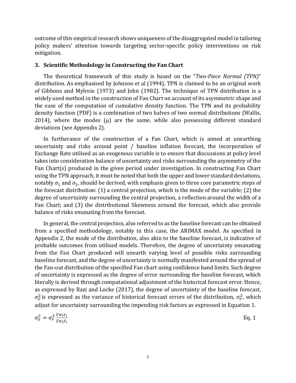outcome of this empirical research shows uniqueness of the disaggregated model in tailoring policy makers' attention towards targeting sector-specific policy interventions on risk mitigation.

#### **3. Scientific Methodology in Constructing the Fan Chart**

The theoretical framework of this study is based on the "*Two-Piece Normal (TPN)*" distribution. As emphasised by Johnson et al (1994), TPN is claimed to be an original work of Gibbons and Mylroie (1973) and John (1982). The technique of TPN distribution is a widely used method in the construction of Fan Chart on account of its asymmetric shape and the ease of the computation of cumulative density function. The TPN and its probability density function (PDF) is a combination of two halves of two normal distributions (Wallis, 2014), where the modes  $(\mu)$  are the same, while also possessing different standard deviations (see Appendix 2).

In furtherance of the construction of a Fan Chart, which is aimed at unearthing uncertainty and risks around point / baseline inflation forecast, the incorporation of Exchange Rate utilised as an exogenous variable is to ensure that discussions at policy level takes into consideration balance of uncertainty and risks surrounding the asymmetry of the Fan Chart(s) produced in the given period under investigation. In constructing Fan Chart using the TPN approach, it must be noted that both the upper and lower standard deviations, notably  $\sigma_1$  and  $\sigma_2$ , should be derived, with emphasis given to three core parametric steps of the forecast distribution: (1) a central projection, which is the mode of the variable; (2) the degree of uncertainty surrounding the central projection, a reflection around the width of a Fan Chart; and (3) the distributional Skewness around the forecast, which also provide balance of risks emanating from the forecast.

In general, the central projection, also referred to as the baseline forecast can be obtained from a specified methodology, notably in this case, the ARIMAX model. As specified in Appendix 2, the mode of the distribution, also akin to the baseline forecast, is indicative of probable outcomes from utilised models. Therefore, the degree of uncertainty emanating from the Fan Chart produced will unearth varying level of possible risks surrounding baseline forecast, and the degree of uncertainty is normally manifested around the spread of the Fan-out distribution of the specified Fan chart using confidence band limits. Such degree of uncertainty is expressed as the degree of error surrounding the baseline forecast, which literally is derived through computational adjustment of the historical forecast error. Hence, as expressed by Razi and Locke (2017), the degree of uncertainty of the baseline forecast,  $\sigma_y^2$  is expressed as the variance of historical forecast errors of the distribution,  $\sigma_e^2$ , which adjust for uncertainty surrounding the impending risk factors as expressed in Equation 1.

$$
\sigma_{y}^{2} = \sigma_{e}^{2} \frac{\Sigma w_{i} x_{i}}{\Sigma w_{i} \bar{x}_{i}}
$$
 Eq. 1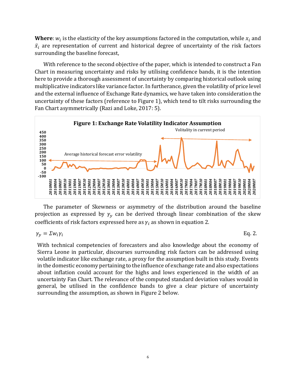**Where**:  $w_i$  is the elasticity of the key assumptions factored in the computation, while  $x_i$  and  $\bar{x}_i$  are representation of current and historical degree of uncertainty of the risk factors surrounding the baseline forecast,

With reference to the second objective of the paper, which is intended to construct a Fan Chart in measuring uncertainty and risks by utilising confidence bands, it is the intention here to provide a thorough assessment of uncertainty by comparing historical outlook using multiplicative indicators like variance factor. In furtherance, given the volatility of price level and the external influence of Exchange Rate dynamics, we have taken into consideration the uncertainty of these factors (reference to Figure 1), which tend to tilt risks surrounding the Fan Chart asymmetrically (Razi and Loke, 2017: 5).



The parameter of Skewness or asymmetry of the distribution around the baseline projection as expressed by  $\gamma_v$  can be derived through linear combination of the skew coefficients of risk factors expressed here as  $\gamma_i$  as shown in equation 2.

$$
\gamma_y = \Sigma w_i \gamma_i \tag{Eq. 2.}
$$

With technical competencies of forecasters and also knowledge about the economy of Sierra Leone in particular, discourses surrounding risk factors can be addressed using volatile indicator like exchange rate, a proxy for the assumption built in this study. Events in the domestic economy pertaining to the influence of exchange rate and also expectations about inflation could account for the highs and lows experienced in the width of an uncertainty Fan Chart. The relevance of the computed standard deviation values would in general, be utilised in the confidence bands to give a clear picture of uncertainty surrounding the assumption, as shown in Figure 2 below.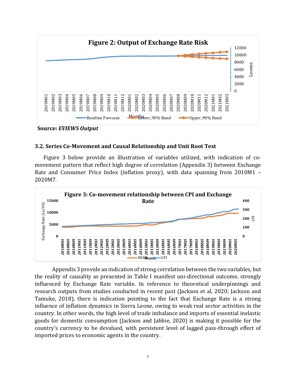

**Source:** *EVIEWS Output*

#### **3.2. Series Co-Movement and Causal Relationship and Unit Root Test**

Figure 3 below provide an illustration of variables utilized, with indication of comovement pattern that reflect high degree of correlation (Appendix 3) between Exchange Rate and Consumer Price Index (inflation proxy), with data spanning from 2010M1 – 2020M7.



Appendix 3 provide an indication of strong correlation between the two variables, but the reality of causality as presented in Table I manifest uni-directional outcome, strongly influenced by Exchange Rate variable. In reference to theoretical underpinnings and research outputs from studies conducted in recent past (Jackson et al, 2020; Jackson and Tamuke, 2018), there is indication pointing to the fact that Exchange Rate is a strong influence of inflation dynamics in Sierra Leone, owing to weak real sector activities in the country. In other words, the high level of trade imbalance and imports of essential inelastic goods for domestic consumption (Jackson and Jabbie, 2020) is making it possible for the country's currency to be devalued, with persistent level of lagged pass-through effect of imported prices to economic agents in the country.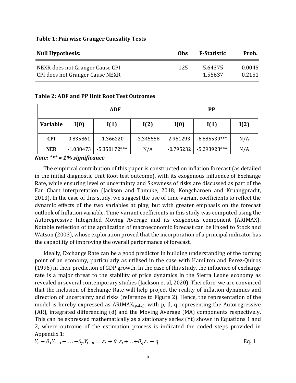| <b>Null Hypothesis:</b>         | <b>Obs</b> | <b>F-Statistic</b> | Prob.  |
|---------------------------------|------------|--------------------|--------|
| NEXR does not Granger Cause CPI | 125        | 5.64375            | 0.0045 |
| CPI does not Granger Cause NEXR |            | 1.55637            | 0.2151 |

#### **Table 1: Pairwise Granger Causality Tests**

#### **Table 2: ADF and PP Unit Root Test Outcomes**

|                 | ADF         |                |             | <b>PP</b>   |                |      |
|-----------------|-------------|----------------|-------------|-------------|----------------|------|
| <b>Variable</b> | I(0)        | I(1)           | I(2)        | I(0)        | I(1)           | I(2) |
| <b>CPI</b>      | 0.835861    | $-1.366220$    | $-3.345558$ | 2.951293    | $-6.885539***$ | N/A  |
| <b>NER</b>      | $-1.038473$ | $-5.358172***$ | N/A         | $-0.795232$ | $-5.293923***$ | N/A  |

*Note: \*\*\* = 1% significance*

The empirical contribution of this paper is constructed on inflation forecast (as detailed in the initial diagnostic Unit Root test outcome), with its exogenous influence of Exchange Rate, while ensuring level of uncertainty and Skewness of risks are discussed as part of the Fan Chart interpretation (Jackson and Tamuke, 2018; Kongcharoen and Kruangpradit, 2013). In the case of this study, we suggest the use of time-variant coefficients to reflect the dynamic effects of the two variables at play, but with greater emphasis on the forecast outlook of Inflation variable. Time-variant coefficients in this study was computed using the Autoregressive Integrated Moving Average and its exogenous component (ARIMAX). Notable reflection of the application of macroeconomic forecast can be linked to Stock and Watson (2003), whose exploration proved that the incorporation of a principal indicator has the capability of improving the overall performance of forecast.

Ideally, Exchange Rate can be a good predictor in building understanding of the turning point of an economy, particularly as utilised in the case with Hamilton and Perez-Quiros (1996) in their prediction of GDP growth. In the case of this study, the influence of exchange rate is a major threat to the stability of price dynamics in the Sierra Leone economy as revealed in several contemporary studies (Jackson et al, 2020). Therefore, we are convinced that the inclusion of Exchange Rate will help project the reality of inflation dynamics and direction of uncertainty and risks (reference to Figure 2). Hence, the representation of the model is hereby expressed as  $ARIMAX(p,d,q)$ , with p, d, q representing the Autoregressive (AR), integrated differencing (d) and the Moving Average (MA) components respectively. This can be expressed mathematically as a stationary series (Yt) shown in Equations 1 and 2, where outcome of the estimation process is indicated the coded steps provided in Appendix 1:

$$
Y_t - \theta_1 Y_{t-1} - \dots - \theta_p Y_{t-p} = \varepsilon_t + \theta_1 \varepsilon_t + \dots + \theta_q \varepsilon_t - q
$$
 Eq. 1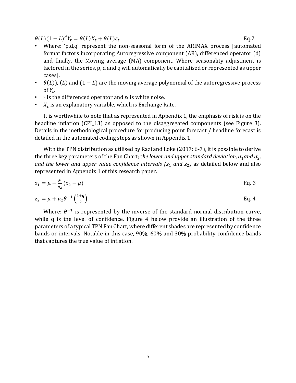$\theta(L)(1-L)^d Y_t = \theta(L)X_t + \theta(L)\varepsilon_t$ Eq.2

- Where: 'p,d,q' represent the non-seasonal form of the ARIMAX process [automated format factors incorporating Autoregressive component (AR), differenced operator (d) and finally, the Moving average (MA) component. Where seasonality adjustment is factored in the series, p, d and q will automatically be capitalised or represented as upper cases].
- $\theta(L)$ , (L) and (1 L) are the moving average polynomial of the autoregressive process of  $Y_t$ .
- $\bullet$  d is the differenced operator and  $\epsilon_t$  is white noise.
- $\bullet$   $X_t$  is an explanatory variable, which is Exchange Rate.

It is worthwhile to note that as represented in Appendix 1, the emphasis of risk is on the headline inflation (CPI 13) as opposed to the disaggregated components (see Figure 3). Details in the methodological procedure for producing point forecast / headline forecast is detailed in the automated coding steps as shown in Appendix 1.

With the TPN distribution as utilised by Razi and Loke (2017: 6-7), it is possible to derive the three key parameters of the Fan Chart; the lower and upper standard deviation,  $\sigma_1$  and  $\sigma_2$ , *and the lower and upper value confidence intervals (* $z_1$  *and*  $z_2$ *) as detailed below and also* represented in Appendix 1 of this research paper.

$$
z_1 = \mu - \frac{\sigma_1}{\sigma_2} (z_2 - \mu)
$$
 Eq. 3

$$
z_2 = \mu + \mu_2 \theta^{-1} \left(\frac{1+q}{2}\right)
$$
 Eq. 4

Where:  $\theta^{-1}$  is represented by the inverse of the standard normal distribution curve, while q is the level of confidence. Figure 4 below provide an illustration of the three parameters of a typical TPN Fan Chart, where different shades are represented by confidence bands or intervals. Notable in this case, 90%, 60% and 30% probability confidence bands that captures the true value of inflation.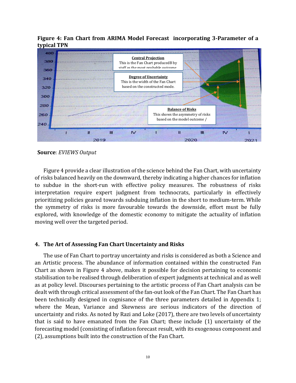

**Figure 4: Fan Chart from ARIMA Model Forecast incorporating 3-Parameter of a typical TPN** 

**Source**: *EVIEWS Output*

Figure 4 provide a clear illustration of the science behind the Fan Chart, with uncertainty of risks balanced heavily on the downward, thereby indicating a higher chances for inflation to subdue in the short-run with effective policy measures. The robustness of risks interpretation require expert judgment from technocrats, particularly in effectively prioritizing policies geared towards subduing inflation in the short to medium-term. While the symmetry of risks is more favourable towards the downside, effort must be fully explored, with knowledge of the domestic economy to mitigate the actuality of inflation moving well over the targeted period.

#### **4. The Art of Assessing Fan Chart Uncertainty and Risks**

The use of Fan Chart to portray uncertainty and risks is considered as both a Science and an Artistic process. The abundance of information contained within the constructed Fan Chart as shown in Figure 4 above, makes it possible for decision pertaining to economic stabilisation to be realised through deliberation of expert judgments at technical and as well as at policy level. Discourses pertaining to the artistic process of Fan Chart analysis can be dealt with through critical assessment of the fan-out look of the Fan Chart. The Fan Chart has been technically designed in cognisance of the three parameters detailed in Appendix 1; where the Mean, Variance and Skewness are serious indicators of the direction of uncertainty and risks. As noted by Razi and Loke (2017), there are two levels of uncertainty that is said to have emanated from the Fan Chart; these include (1) uncertainty of the forecasting model (consisting of inflation forecast result, with its exogenous component and (2), assumptions built into the construction of the Fan Chart.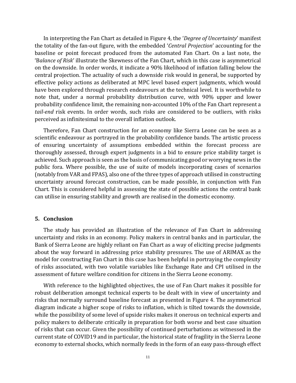In interpreting the Fan Chart as detailed in Figure 4, the '*Degree of Uncertainty*' manifest the totality of the fan-out figure, with the embedded '*Central Projection*' accounting for the baseline or point forecast produced from the automated Fan Chart. On a last note, the 'B*alance of Risk*' illustrate the Skewness of the Fan Chart, which in this case is asymmetrical on the downside. In order words, it indicate a 90% likelihood of inflation falling below the central projection. The actuality of such a downside risk would in general, be supported by effective policy actions as deliberated at MPC level based expert judgments, which would have been explored through research endeavours at the technical level. It is worthwhile to note that, under a normal probability distribution curve, with 90% upper and lower probability confidence limit, the remaining non-accounted 10% of the Fan Chart represent a *tail-end* risk events. In order words, such risks are considered to be outliers, with risks perceived as infinitesimal to the overall inflation outlook.

Therefore, Fan Chart construction for an economy like Sierra Leone can be seen as a scientific endeavour as portrayed in the probability confidence bands. The artistic process of ensuring uncertainty of assumptions embedded within the forecast process are thoroughly assessed, through expert judgments in a bid to ensure price stability target is achieved. Such approach is seen as the basis of communicating good or worrying news in the public fora. Where possible, the use of suite of models incorporating cases of scenarios (notably from VAR and FPAS), also one of the three types of approach utilised in constructing uncertainty around forecast construction, can be made possible, in conjunction with Fan Chart. This is considered helpful in assessing the state of possible actions the central bank can utilise in ensuring stability and growth are realised in the domestic economy.

#### **5. Conclusion**

The study has provided an illustration of the relevance of Fan Chart in addressing uncertainty and risks in an economy. Policy makers in central banks and in particular, the Bank of Sierra Leone are highly reliant on Fan Chart as a way of eliciting precise judgments about the way forward in addressing price stability pressures. The use of ARIMAX as the model for constructing Fan Chart in this case has been helpful in portraying the complexity of risks associated, with two volatile variables like Exchange Rate and CPI utilised in the assessment of future welfare condition for citizens in the Sierra Leone economy.

With reference to the highlighted objectives, the use of Fan Chart makes it possible for robust deliberation amongst technical experts to be dealt with in view of uncertainty and risks that normally surround baseline forecast as presented in Figure 4. The asymmetrical diagram indicate a higher scope of risks to inflation, which is tilted towards the downside, while the possibility of some level of upside risks makes it onerous on technical experts and policy makers to deliberate critically in preparation for both worse and best case situation of risks that can occur. Given the possibility of continued perturbations as witnessed in the current state of COVID19 and in particular, the historical state of fragility in the Sierra Leone economy to external shocks, which normally feeds in the form of an easy pass-through effect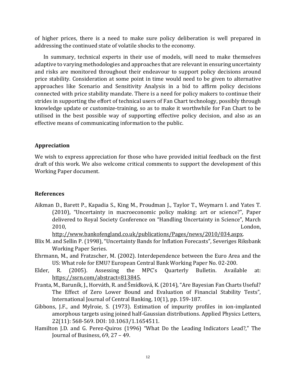of higher prices, there is a need to make sure policy deliberation is well prepared in addressing the continued state of volatile shocks to the economy.

In summary, technical experts in their use of models, will need to make themselves adaptive to varying methodologies and approaches that are relevant in ensuring uncertainty and risks are monitored throughout their endeavour to support policy decisions around price stability. Consideration at some point in time would need to be given to alternative approaches like Scenario and Sensitivity Analysis in a bid to affirm policy decisions connected with price stability mandate. There is a need for policy makers to continue their strides in supporting the effort of technical users of Fan Chart technology, possibly through knowledge update or customize-training, so as to make it worthwhile for Fan Chart to be utilised in the best possible way of supporting effective policy decision, and also as an effective means of communicating information to the public.

## **Appreciation**

We wish to express appreciation for those who have provided initial feedback on the first draft of this work. We also welcome critical comments to support the development of this Working Paper document.

# **References**

Aikman D., Barett P., Kapadia S., King M., Proudman J., Taylor T., Weymarn I. and Yates T. (2010), "Uncertainty in macroeconomic policy making: art or science?", Paper delivered to Royal Society Conference on "Handling Uncertainty in Science", March 2010, London,

[http://www.bankofengland.co.uk/publications/Pages/news/2010/034.aspx.](http://www.bankofengland.co.uk/publications/Pages/news/2010/034.aspx) 

- Blix M. and Sellin P. (1998), "Uncertainty Bands for Inflation Forecasts", Severiges Riksbank Working Paper Series.
- Ehrmann, M., and Fratzscher, M. (2002). Interdependence between the Euro Area and the US: What role for EMU? European Central Bank Working Paper No. 02-200.
- Elder, R. (2005). Assessing the MPC's Quarterly Bulletin. Available at: [https://ssrn.com/abstract=813845.](https://ssrn.com/abstract=813845)
- Franta, M., Baruník, J., Horváth, R. and Šmídková, K. (2014), "Are Bayesian Fan Charts Useful? The Effect of Zero Lower Bound and Evaluation of Financial Stability Tests", International Journal of Central Banking, 10(1), pp. 159-187.
- Gibbons, J.F., and Mylroie, S. (1973). Estimation of impurity profiles in ion-implanted amorphous targets using joined half-Gaussian distributions. Applied Physics Letters, 22(11): 568-569. DOI: 10.1063/1.1654511.
- Hamilton J.D. and G. Perez-Quiros (1996) "What Do the Leading Indicators Lead?," The Journal of Business, 69, 27 – 49.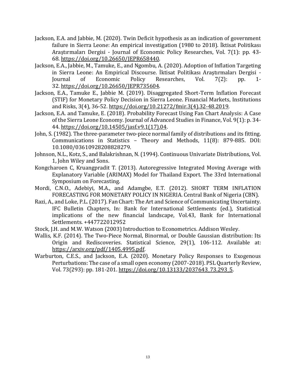- Jackson, E.A. and Jabbie, M. (2020). Twin Deficit hypothesis as an indication of government failure in Sierra Leone: An empirical investigation (1980 to 2018). İktisat Politikası Araştırmaları Dergisi - Journal of Economic Policy Researches, Vol. 7(1): pp. 43- 68. [https://doi.org/10.26650/JEPR658440.](https://doi.org/10.26650/JEPR658440)
- Jackson, E.A., Jabbie, M., Tamuke, E., and Ngombu, A. (2020). Adoption of Inflation Targeting in Sierra Leone: An Empirical Discourse. İktisat Politikası Araştırmaları Dergisi - Researches, 32. [https://doi.org/10.26650/JEPR735604.](https://doi.org/10.26650/JEPR735604)
- Jackson, E.A., Tamuke E., Jabbie M. (2019). Disaggregated Short-Term Inflation Forecast (STIF) for Monetary Policy Decision in Sierra Leone. Financial Markets, Institutions and Risks, 3(4), 36-52. [https://doi.org/10.21272/fmir.3\(4\).32-48.2019.](https://doi.org/10.21272/fmir.3(4).32-48.2019)
- Jackson, E.A. and Tamuke, E. (2018). Probability Forecast Using Fan Chart Analysis: A Case of the Sierra Leone Economy. Journal of Advanced Studies in Finance, Vol. 9(1): p. 34- 44. [https://doi.org/10.14505/jasf.v9.1\(17\).04.](https://doi.org/10.14505/jasf.v9.1(17).04)
- John, S. (1982). The three-parameter two-piece normal family of distributions and its fitting. Communications in Statistics – Theory and Methods, 11(8): 879-885. DOI: 10.1080/03610928208828279.
- Johnson, N.L., Kotz, S., and Balakrishnan, N. (1994). Continuous Univariate Distributions, Vol. 1, John Wiley and Sons.
- Kongcharoen C, Kruangpradit T. (2013). Autoregressive Integrated Moving Average with Explanatory Variable (ARIMAX) Model for Thailand Export. The 33rd International Symposium on Forecasting.
- Mordi, C.N.O., Adebiyi, M.A., and Adamgbe, E.T. (2012). SHORT TERM INFLATION FORECASTING FOR MONETARY POLICY IN NIGERIA. Central Bank of Nigeria (CBN).
- Razi, A., and Loke, P.L. (2017). Fan Chart: The Art and Science of Communicating Uncertainty. IFC Bulletin Chapters, In: Bank for International Settlements (ed.), Statistical implications of the new financial landscape, Vol.43, Bank for International Settlements. +447722012952
- Stock, J.H. and M.W. Watson (2003) Introduction to Econometrics. Addison Wesley.
- Wallis, K.F. (2014). The Two-Piece Normal, Binormal, or Double Gaussian distribution: Its Origin and Rediscoveries. Statistical Science, 29(1), 106-112. Available at: [https://arxiv.org/pdf/1405.4995.pdf.](https://arxiv.org/pdf/1405.4995.pdf)
- Warburton, C.E.S., and Jackson, E.A. (2020). Monetary Policy Responses to Exogenous Perturbations: The case of a small open economy (2007-2018). PSL Quarterly Review, Vol. 73(293): pp. 181-201. [https://doi.org/10.13133/2037643\\_73.293\\_5.](https://doi.org/10.13133/2037643_73.293_5)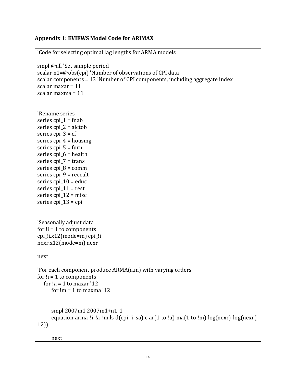# **Appendix 1: EVIEWS Model Code for ARIMAX**

```
'Code for selecting optimal lag lengths for ARMA models 
smpl @all 'Set sample period 
scalar n1=@obs(cpi) 'Number of observations of CPI data 
scalar components = 13 'Number of CPI components, including aggregate index 
scalar maxar = 11 
scalar maxma = 11 
'Rename series 
series cpi 1 = fnab
series cpi_2 = alctob 
series cpi_3 = cfseries cpi_4 = housing
series cpi 5 = furn
series cpi 6 = health
series cpi_7 = trans 
series cpi8 =comm
series cpi 9 = reccult
series cpi 10 = educ
series cpi_11 = restseries cpi_12 = misc 
series cpi_13 = cpi 
'Seasonally adjust data 
for 1i = 1 to components
cpi_!i.x12(mode=m) cpi_!i 
nexr.x12(mode=m) nexr 
next 
'For each component produce ARMA(a,m) with varying orders 
for 1i = 1 to components
  for I_a = 1 to maxar '12
     for Im = 1 to maxma '12
      smpl 2007m1 2007m1+n1-1 
     equation arma_!i_!a_!m.ls d(cpi_!i_sa) c ar(1 to !a) ma(1 to !m) log(nexr)-log(nexr(-
12)) 
      next
```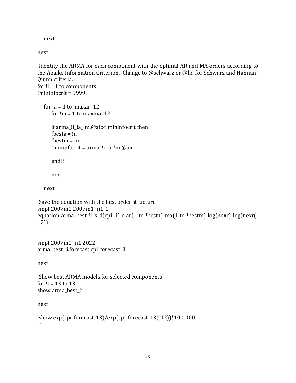```
 next 
next 
'Identify the ARMA for each component with the optimal AR and MA orders according to 
the Akaike Information Criterion. Change to @schwarz or @hq for Schwarz and Hannan-
Quinn criteria. 
for 1i = 1 to components
!mininfocrit = 9999 
  for a = 1 to maxar '12
     for Im = 1 to maxma '12
      if arma_!i_!a_!m.@aic<!mininfocrit then 
      !besta = !a 
      !bestm = !m 
      !mininfocrit = arma_!i_!a_!m.@aic 
      endif 
      next 
   next 
'Save the equation with the best order structure 
smpl 2007m1 2007m1+n1-1 
equation arma_best_!i.ls d(cpi_!i) c ar(1 to !besta) ma(1 to !bestm) log(nexr)-log(nexr(-
12)) 
smpl 2007m1+n1 2022 
arma_best_!i.forecast cpi_forecast_!i 
next 
'Show best ARMA models for selected components 
for !i = 13 to 13 
show arma best !i
next 
'show exp(cpi_forecast_13)/exp(cpi_forecast_13(-12))*100-100 
'*
```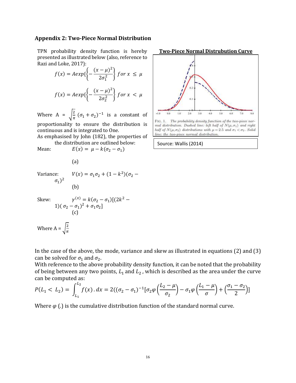#### **Appendix 2: Two-Piece Normal Distribution**

TPN probability density function is hereby presented as illustrated below (also, reference to Razi and Loke, 2017):

$$
f(x) = A \exp\left\{-\frac{(x-\mu)^2}{2\sigma_1^2}\right\} \text{ for } x \le \mu
$$

$$
f(x) = A \exp\left\{-\frac{(x-\mu)^2}{2\sigma_2^2}\right\} \text{ for } x < \mu
$$

Where A =  $\sqrt{\frac{2}{\pi}}$  $\frac{2}{\pi}$   $(\sigma_1 + \sigma_2)^{-1}$  is a constant of proportionality to ensure the distribution is continuous and is integrated to One.

As emphasised by John (182), the properties of the distribution are outlined below:

Mean:  $E(x) = \mu - k(\sigma_2 - \sigma_1)$ 

(a)

(b)

Variance:  $V(x) = \sigma_1 \sigma_2 + (1 - k^2)(\sigma_2 \sigma_1)^2$ 

Skew:

Skew: 
$$
\gamma^{(x)} = k(\sigma_2 - \sigma_1)[(2k^2 - 1)(\sigma_2 - \sigma_1)^2 + \sigma_1 \sigma_2]
$$
  
(c)  
Where  $A = \sqrt{\frac{2}{\pi}}$ 



**Two-Piece Normal Distrubution Curve** 

In the case of the above, the mode, variance and skew as illustrated in equations (2) and (3) can be solved for  $\sigma_1$  and  $\sigma_2$ .

With reference to the above probability density function, it can be noted that the probability of being between any two points,  $L_1$  and  $L_2$ , which is described as the area under the curve can be computed as:

$$
P(L_1 < L_2) = \int_{L_1}^{L_2} f(x) \cdot dx = 2((\sigma_2 - \sigma_1)^{-1} [\sigma_2 \varphi \left( \frac{L_2 - \mu}{\sigma_2} \right) - \sigma_1 \varphi \left( \frac{L_1 - \mu}{\sigma} \right) + \left( \frac{\sigma_1 - \sigma_2}{2} \right)]
$$

Where  $\varphi$  (.) is the cumulative distribution function of the standard normal curve.